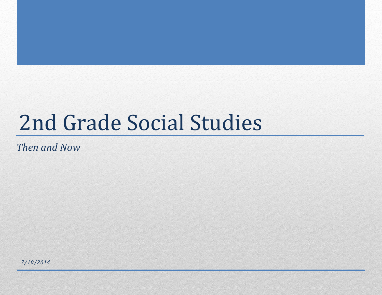# 2nd Grade Social Studies

*Then and Now*

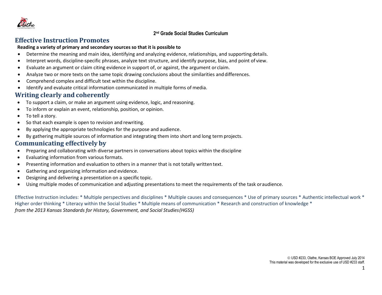

# **Effective Instruction Promotes**

#### **Reading a variety of primary and secondary sourcesso that it is possible to**

- Determine the meaning and main idea, identifying and analyzing evidence, relationships, and supporting details.
- Interpret words, discipline-specific phrases, analyze text structure, and identify purpose, bias, and point of view.
- Evaluate an argument or claim citing evidence in support of, or against, the argument or claim.
- Analyze two or more texts on the same topic drawing conclusions about the similarities and differences.
- Comprehend complex and difficult text within the discipline.
- Identify and evaluate critical information communicated in multiple forms of media.

# **Writing clearly and coherently**

- To support a claim, or make an argument using evidence, logic, and reasoning.
- To inform or explain an event, relationship, position, or opinion.
- To tell a story.
- So that each example is open to revision and rewriting.
- By applying the appropriate technologies for the purpose and audience.
- By gathering multiple sources of information and integrating them into short and long term projects.

# **Communicating effectively by**

- Preparing and collaborating with diverse partners in conversations about topics within the discipline
- Evaluating information from various formats.
- Presenting information and evaluation to others in a manner that is not totally written text.
- Gathering and organizing information and evidence.
- Designing and delivering a presentation on a specific topic.
- Using multiple modes of communication and adjusting presentations to meet the requirements of the task oraudience.

Effective Instruction includes: \* Multiple perspectives and disciplines \* Multiple causes and consequences \* Use of primary sources \* Authentic intellectual work \* Higher order thinking \* Literacy within the Social Studies \* Multiple means of communication \* Research and construction of knowledge \* *from the 2013 Kansas Standards for History, Government, and Social Studies(HGSS)*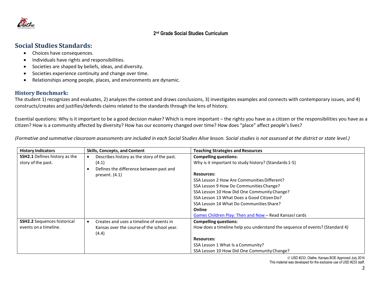

# **Social Studies Standards:**

- Choices have consequences.
- Individuals have rights and responsibilities.
- Societies are shaped by beliefs, ideas, and diversity.
- Societies experience continuity and change over time.
- Relationships among people, places, and environments are dynamic.

# **History Benchmark:**

The student 1) recognizes and evaluates, 2) analyzes the context and draws conclusions, 3) investigates examples and connects with contemporary issues, and 4) constructs/creates and justifies/defends claims related to the standards through the lens of history.

Essential questions: Why is it important to be a good decision maker? Which is more important – the rights you have as a citizen or the responsibilities you have as a citizen? How is a community affected by diversity? How has our economy changed over time? How does "place" affect people's lives?

(Formative and summative classroom assessments are included in each Social Studies Alive lesson. Social studies is not assessed at the district or state level.)

| <b>History Indicators</b>            | <b>Skills, Concepts, and Content</b>                  | <b>Teaching Strategies and Resources</b>                                     |
|--------------------------------------|-------------------------------------------------------|------------------------------------------------------------------------------|
| <b>SSH2.1</b> Defines history as the | Describes history as the story of the past.           | <b>Compelling questions:</b>                                                 |
| story of the past.                   | (4.1)                                                 | Why is it important to study history? (Standards 1-5)                        |
|                                      | Defines the difference between past and               |                                                                              |
|                                      | present. $(4.1)$                                      | <b>Resources:</b>                                                            |
|                                      |                                                       | SSA Lesson 2 How Are Communities Different?                                  |
|                                      |                                                       | SSA Lesson 9 How Do Communities Change?                                      |
|                                      |                                                       | SSA Lesson 10 How Did One Community Change?                                  |
|                                      |                                                       | SSA Lesson 13 What Does a Good Citizen Do?                                   |
|                                      |                                                       | SSA Lesson 14 What Do Communities Share?                                     |
|                                      |                                                       | Online                                                                       |
|                                      |                                                       | Games Children Play: Then and Now - Read Kansas! cards                       |
| <b>SSH2.2</b> Sequences historical   | Creates and uses a timeline of events in<br>$\bullet$ | <b>Compelling questions:</b>                                                 |
| events on a timeline.                | Kansas over the course of the school year.            | How does a timeline help you understand the sequence of events? (Standard 4) |
|                                      | (4.4)                                                 |                                                                              |
|                                      |                                                       | <b>Resources:</b>                                                            |
|                                      |                                                       | SSA Lesson 1 What Is a Community?                                            |
|                                      |                                                       | SSA Lesson 10 How Did One Community Change?                                  |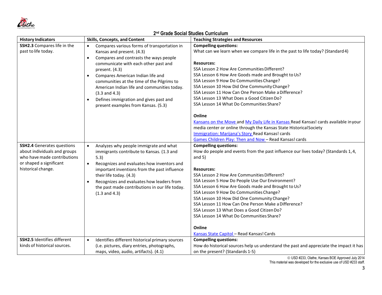

| <b>History Indicators</b>                     | <b>Skills, Concepts, and Content</b>                                                       | <b>Teaching Strategies and Resources</b>                                                      |
|-----------------------------------------------|--------------------------------------------------------------------------------------------|-----------------------------------------------------------------------------------------------|
| SSH2.3 Compares life in the                   | Compares various forms of transportation in<br>$\bullet$                                   | <b>Compelling questions:</b>                                                                  |
| past to life today.                           | Kansas and present. (4.3)                                                                  | What can we learn when we compare life in the past to life today? (Standard 4)                |
|                                               | Compares and contrasts the ways people<br>$\bullet$                                        |                                                                                               |
|                                               | communicate with each other past and                                                       | <b>Resources:</b>                                                                             |
|                                               | present. (4.3)                                                                             | SSA Lesson 2 How Are Communities Different?                                                   |
|                                               | Compares American Indian life and<br>$\bullet$                                             | SSA Lesson 6 How Are Goods made and Brought to Us?<br>SSA Lesson 9 How Do Communities Change? |
|                                               | communities at the time of the Pilgrims to                                                 | SSA Lesson 10 How Did One Community Change?                                                   |
|                                               | American Indian life and communities today.                                                | SSA Lesson 11 How Can One Person Make a Difference?                                           |
|                                               | $(3.3$ and $4.3)$                                                                          | SSA Lesson 13 What Does a Good Citizen Do?                                                    |
|                                               | Defines immigration and gives past and<br>$\bullet$<br>present examples from Kansas. (5.3) | SSA Lesson 14 What Do Communities Share?                                                      |
|                                               |                                                                                            |                                                                                               |
|                                               |                                                                                            | Online                                                                                        |
|                                               |                                                                                            | Kansans on the Move and My Daily Life in Kansas Read Kansas! cards available in your          |
|                                               |                                                                                            | media center or online through the Kansas State Historical Society                            |
|                                               |                                                                                            | Immigration: Marijana's Story Read Kansas! cards                                              |
|                                               |                                                                                            | Games Children Play: Then and Now - Read Kansas! cards                                        |
| <b>SSH2.4</b> Generates questions             | Analyzes why people immigrate and what                                                     | <b>Compelling questions:</b>                                                                  |
| about individuals and groups                  | immigrants contribute to Kansas. (1.3 and                                                  | How do people and events from the past influence our lives today? (Standards 1,4,             |
| who have made contributions                   | 5.3)                                                                                       | and $5)$                                                                                      |
| or shaped a significant<br>historical change. | Recognizes and evaluates how inventors and                                                 | <b>Resources:</b>                                                                             |
|                                               | important inventions from the past influence<br>their life today. (4.3)                    | SSA Lesson 2 How Are Communities Different?                                                   |
|                                               | Recognizes and evaluates how leaders from                                                  | SSA Lesson 5 How Do People Use Our Environment?                                               |
|                                               | the past made contributions in our life today.                                             | SSA Lesson 6 How Are Goods made and Brought to Us?                                            |
|                                               | $(1.3$ and $4.3)$                                                                          | SSA Lesson 9 How Do Communities Change?                                                       |
|                                               |                                                                                            | SSA Lesson 10 How Did One Community Change?                                                   |
|                                               |                                                                                            | SSA Lesson 11 How Can One Person Make a Difference?                                           |
|                                               |                                                                                            | SSA Lesson 13 What Does a Good Citizen Do?                                                    |
|                                               |                                                                                            | SSA Lesson 14 What Do Communities Share?                                                      |
|                                               |                                                                                            | Online                                                                                        |
|                                               |                                                                                            | Kansas State Capitol - Read Kansas! Cards                                                     |
| <b>SSH2.5 Identifies different</b>            | Identifies different historical primary sources<br>$\bullet$                               | <b>Compelling questions:</b>                                                                  |
| kinds of historical sources.                  | (i.e. pictures, diary entries, photographs,                                                | How do historical sources help us understand the past and appreciate the impact it has        |
|                                               | maps, video, audio, artifacts). (4.1)                                                      | on the present? (Standards 1-5)                                                               |

USD #233, Olathe, Kansas BOE Approved July 2014

This material was developed for the exclusive use of USD #233 staff.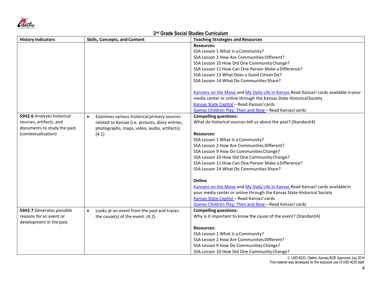

| <b>History Indicators</b>         | <b>Skills, Concepts, and Content</b>                    | <b>Teaching Strategies and Resources</b>                                             |
|-----------------------------------|---------------------------------------------------------|--------------------------------------------------------------------------------------|
|                                   |                                                         | <b>Resources:</b>                                                                    |
|                                   |                                                         | SSA Lesson 1 What Is a Community?                                                    |
|                                   |                                                         | SSA Lesson 2 How Are Communities Different?                                          |
|                                   |                                                         | SSA Lesson 10 How Did One Community Change?                                          |
|                                   |                                                         | SSA Lesson 11 How Can One Person Make a Difference?                                  |
|                                   |                                                         | SSA Lesson 13 What Does a Good Citizen Do?                                           |
|                                   |                                                         | SSA Lesson 14 What Do Communities Share?                                             |
|                                   |                                                         |                                                                                      |
|                                   |                                                         | Kansans on the Move and My Daily Life in Kansas Read Kansas! cards available in your |
|                                   |                                                         | media center or online through the Kansas State Historical Society                   |
|                                   |                                                         | Kansas State Capitol - Read Kansas! cards                                            |
|                                   |                                                         | Games Children Play: Then and Now-Read Kansas! cards                                 |
| <b>SSH2.6 Analyzes historical</b> | Examines various historical primary sources             | <b>Compelling questions:</b>                                                         |
| sources, artifacts, and           | related to Kansas (i.e. pictures, diary entries,        | What do historical sources tell us about the past? (Standard 4)                      |
| documents to study the past.      | photographs, maps, video, audio, artifacts).            |                                                                                      |
| (contextualization)               | (4.1)                                                   | <b>Resources:</b>                                                                    |
|                                   |                                                         | SSA Lesson 1 What Is a Community?                                                    |
|                                   |                                                         | SSA Lesson 2 How Are Communities Different?                                          |
|                                   |                                                         | SSA Lesson 9 How Do Communities Change?                                              |
|                                   |                                                         | SSA Lesson 10 How Did One Community Change?                                          |
|                                   |                                                         | SSA Lesson 11 How Can One Person Make a Difference?                                  |
|                                   |                                                         | SSA Lesson 14 What Do Communities Share?                                             |
|                                   |                                                         |                                                                                      |
|                                   |                                                         | Online                                                                               |
|                                   |                                                         | Kansans on the Move and My Daily Life in Kansas Read Kansas! cards available in      |
|                                   |                                                         | your media center or online through the Kansas State Historical Society              |
|                                   |                                                         | Kansas State Capitol - Read Kansas! cards                                            |
|                                   |                                                         | Games Children Play: Then and Now - Read Kansas! cards                               |
| <b>SSH2.7</b> Generates possible  | Looks at an event from the past and traces<br>$\bullet$ | <b>Compelling questions:</b>                                                         |
| reasons for an event or           | the cause(s) of the event. (4.2)                        | Why is it important to know the cause of the event? (Standard 4)                     |
| development in the past.          |                                                         |                                                                                      |
|                                   |                                                         | <b>Resources:</b>                                                                    |
|                                   |                                                         | SSA Lesson 1 What Is a Community?                                                    |
|                                   |                                                         | SSA Lesson 2 How Are Communities Different?                                          |
|                                   |                                                         | SSA Lesson 9 How Do Communities Change?                                              |
|                                   |                                                         | SSA Lesson 10 How Did One Community Change?                                          |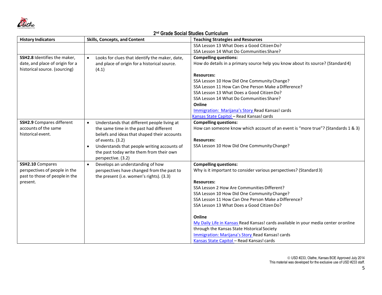

| <b>History Indicators</b>                                       | <b>Skills, Concepts, and Content</b>                                                                        | <b>Teaching Strategies and Resources</b>                                                                        |
|-----------------------------------------------------------------|-------------------------------------------------------------------------------------------------------------|-----------------------------------------------------------------------------------------------------------------|
|                                                                 |                                                                                                             | SSA Lesson 13 What Does a Good Citizen Do?                                                                      |
|                                                                 |                                                                                                             | SSA Lesson 14 What Do Communities Share?                                                                        |
| SSH2.8 Identifies the maker,<br>date, and place of origin for a | Looks for clues that identify the maker, date,<br>$\bullet$<br>and place of origin for a historical source. | <b>Compelling questions:</b><br>How do details in a primary source help you know about its source? (Standard 4) |
| historical source. (sourcing)                                   | (4.1)                                                                                                       |                                                                                                                 |
|                                                                 |                                                                                                             | <b>Resources:</b>                                                                                               |
|                                                                 |                                                                                                             | SSA Lesson 10 How Did One Community Change?                                                                     |
|                                                                 |                                                                                                             | SSA Lesson 11 How Can One Person Make a Difference?                                                             |
|                                                                 |                                                                                                             | SSA Lesson 13 What Does a Good Citizen Do?                                                                      |
|                                                                 |                                                                                                             | SSA Lesson 14 What Do Communities Share?                                                                        |
|                                                                 |                                                                                                             | Online                                                                                                          |
|                                                                 |                                                                                                             | Immigration: Marijana's Story Read Kansas! cards                                                                |
|                                                                 |                                                                                                             | Kansas State Capitol - Read Kansas! cards                                                                       |
| <b>SSH2.9</b> Compares different                                | Understands that different people living at<br>$\bullet$                                                    | <b>Compelling questions:</b>                                                                                    |
| accounts of the same                                            | the same time in the past had different                                                                     | How can someone know which account of an event is "more true"? (Standards 1 & 3)                                |
| historical event.                                               | beliefs and ideas that shaped their accounts                                                                |                                                                                                                 |
|                                                                 | of events. (3.2)                                                                                            | <b>Resources:</b>                                                                                               |
|                                                                 | Understands that people writing accounts of<br>$\bullet$                                                    | SSA Lesson 10 How Did One Community Change?                                                                     |
|                                                                 | the past today write them from their own                                                                    |                                                                                                                 |
|                                                                 | perspective. (3.2)                                                                                          |                                                                                                                 |
| SSH2.10 Compares                                                | Develops an understanding of how<br>$\bullet$                                                               | <b>Compelling questions:</b>                                                                                    |
| perspectives of people in the<br>past to those of people in the | perspectives have changed from the past to<br>the present (i.e. women's rights). (3.3)                      | Why is it important to consider various perspectives? (Standard 3)                                              |
| present.                                                        |                                                                                                             | <b>Resources:</b>                                                                                               |
|                                                                 |                                                                                                             | SSA Lesson 2 How Are Communities Different?                                                                     |
|                                                                 |                                                                                                             | SSA Lesson 10 How Did One Community Change?                                                                     |
|                                                                 |                                                                                                             | SSA Lesson 11 How Can One Person Make a Difference?                                                             |
|                                                                 |                                                                                                             | SSA Lesson 13 What Does a Good Citizen Do?                                                                      |
|                                                                 |                                                                                                             |                                                                                                                 |
|                                                                 |                                                                                                             | Online                                                                                                          |
|                                                                 |                                                                                                             | My Daily Life in Kansas Read Kansas! cards available in your media center or online                             |
|                                                                 |                                                                                                             | through the Kansas State Historical Society                                                                     |
|                                                                 |                                                                                                             | Immigration: Marijana's Story Read Kansas! cards                                                                |
|                                                                 |                                                                                                             | Kansas State Capitol - Read Kansas! cards                                                                       |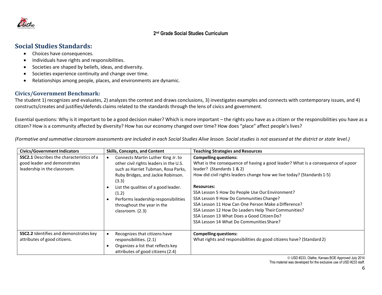

# **Social Studies Standards:**

- Choices have consequences.
- Individuals have rights and responsibilities.
- Societies are shaped by beliefs, ideas, and diversity.
- Societies experience continuity and change over time.
- Relationships among people, places, and environments are dynamic.

# **Civics/Government Benchmark:**

The student 1) recognizes and evaluates, 2) analyzes the context and draws conclusions, 3) investigates examples and connects with contemporary issues, and 4) constructs/creates and justifies/defends claims related to the standards through the lens of civics and government.

Essential questions: Why is it important to be a good decision maker? Which is more important – the rights you have as a citizen or the responsibilities you have as a citizen? How is a community affected by diversity? How has our economy changed over time? How does "place" affect people's lives?

(Formative and summative classroom assessments are included in each Social Studies Alive lesson. Social studies is not assessed at the district or state level.)

| <b>Civics/Government Indicators</b>                                                                              | <b>Skills, Concepts, and Content</b>                                                                                                                                                                                                                                                                          | <b>Teaching Strategies and Resources</b>                                                                                                                                                                                                                                                                                                                                                                                                                                                                                                            |
|------------------------------------------------------------------------------------------------------------------|---------------------------------------------------------------------------------------------------------------------------------------------------------------------------------------------------------------------------------------------------------------------------------------------------------------|-----------------------------------------------------------------------------------------------------------------------------------------------------------------------------------------------------------------------------------------------------------------------------------------------------------------------------------------------------------------------------------------------------------------------------------------------------------------------------------------------------------------------------------------------------|
| <b>SSC2.1</b> Describes the characteristics of a<br>good leader and demonstrates<br>leadership in the classroom. | Connects Martin Luther King Jr. to<br>other civil rights leaders in the U.S.<br>such as Harriet Tubman, Rosa Parks,<br>Ruby Bridges, and Jackie Robinson.<br>(3.3)<br>List the qualities of a good leader.<br>(1.2)<br>Performs leadership responsibilities<br>throughout the year in the<br>classroom. (2.3) | <b>Compelling questions:</b><br>What is the consequence of having a good leader? What is a consequence of a poor<br>leader? (Standards 1 & 2)<br>How did civil rights leaders change how we live today? (Standards 1-5)<br><b>Resources:</b><br>SSA Lesson 5 How Do People Use Our Environment?<br>SSA Lesson 9 How Do Communities Change?<br>SSA Lesson 11 How Can One Person Make a Difference?<br>SSA Lesson 12 How Do Leaders Help Their Communities?<br>SSA Lesson 13 What Does a Good Citizen Do?<br>SSA Lesson 14 What Do Communities Share? |
| SSC2.2 Identifies and demonstrates key<br>attributes of good citizens.                                           | Recognizes that citizens have<br>responsibilities. (2.1)<br>Organizes a list that reflects key<br>attributes of good citizens (2.4)                                                                                                                                                                           | <b>Compelling questions:</b><br>What rights and responsibilities do good citizens have? (Standard 2)                                                                                                                                                                                                                                                                                                                                                                                                                                                |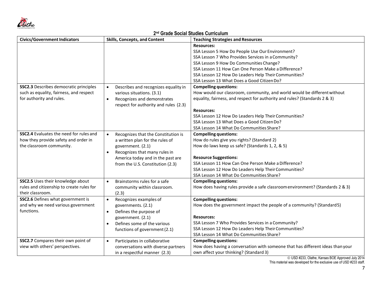

| <b>Civics/Government Indicators</b>            | <b>Skills, Concepts, and Content</b>              | <b>Teaching Strategies and Resources</b>                                       |
|------------------------------------------------|---------------------------------------------------|--------------------------------------------------------------------------------|
|                                                |                                                   | <b>Resources:</b>                                                              |
|                                                |                                                   | SSA Lesson 5 How Do People Use Our Environment?                                |
|                                                |                                                   | SSA Lesson 7 Who Provides Services in a Community?                             |
|                                                |                                                   | SSA Lesson 9 How Do Communities Change?                                        |
|                                                |                                                   | SSA Lesson 11 How Can One Person Make a Difference?                            |
|                                                |                                                   | SSA Lesson 12 How Do Leaders Help Their Communities?                           |
|                                                |                                                   | SSA Lesson 13 What Does a Good Citizen Do?                                     |
| <b>SSC2.3</b> Describes democratic principles  | Describes and recognizes equality in<br>$\bullet$ | <b>Compelling questions:</b>                                                   |
| such as equality, fairness, and respect        | various situations. (3.1)                         | How would our classroom, community, and world would be different without       |
| for authority and rules.                       | Recognizes and demonstrates<br>$\bullet$          | equality, fairness, and respect for authority and rules? (Standards 2 & 3)     |
|                                                | respect for authority and rules (2.3)             |                                                                                |
|                                                |                                                   | <b>Resources:</b>                                                              |
|                                                |                                                   | SSA Lesson 12 How Do Leaders Help Their Communities?                           |
|                                                |                                                   | SSA Lesson 13 What Does a Good Citizen Do?                                     |
|                                                |                                                   | SSA Lesson 14 What Do Communities Share?                                       |
| <b>SSC2.4</b> Evaluates the need for rules and | Recognizes that the Constitution is<br>$\bullet$  | <b>Compelling questions:</b>                                                   |
| how they provide safety and order in           | a written plan for the rules of                   | How do rules give you rights? (Standard 2)                                     |
| the classroom community.                       | government. (2.1)                                 | How do laws keep us safe? (Standards 1, 2, & 5)                                |
|                                                | Recognizes that many rules in<br>$\bullet$        |                                                                                |
|                                                | America today and in the past are                 | <b>Resource Suggestions:</b>                                                   |
|                                                | from the U.S. Constitution (2.3)                  | SSA Lesson 11 How Can One Person Make a Difference?                            |
|                                                |                                                   | SSA Lesson 12 How Do Leaders Help Their Communities?                           |
|                                                |                                                   | SSA Lesson 14 What Do Communities Share?                                       |
| SSC2.5 Uses their knowledge about              | Brainstorms rules for a safe<br>$\bullet$         | <b>Compelling questions:</b>                                                   |
| rules and citizenship to create rules for      | community within classroom.                       | How does having rules provide a safe classroom environment? (Standards 2 & 3)  |
| their classroom.                               | (2.3)                                             |                                                                                |
| <b>SSC2.6</b> Defines what government is       | Recognizes examples of<br>$\bullet$               | <b>Compelling questions:</b>                                                   |
| and why we need various government             | governments. (2.1)                                | How does the government impact the people of a community? (Standard5)          |
| functions.                                     | Defines the purpose of<br>$\bullet$               |                                                                                |
|                                                | government. (2.1)                                 | <b>Resources:</b>                                                              |
|                                                | Defines some of the various<br>$\bullet$          | SSA Lesson 7 Who Provides Services in a Community?                             |
|                                                | functions of government (2.1)                     | SSA Lesson 12 How Do Leaders Help Their Communities?                           |
|                                                |                                                   | SSA Lesson 14 What Do Communities Share?                                       |
| SSC2.7 Compares their own point of             | Participates in collaborative<br>$\bullet$        | <b>Compelling questions:</b>                                                   |
| view with others' perspectives.                | conversations with diverse partners               | How does having a conversation with someone that has different ideas than your |
|                                                | in a respectful manner (2.3)                      | own affect your thinking? (Standard 3)                                         |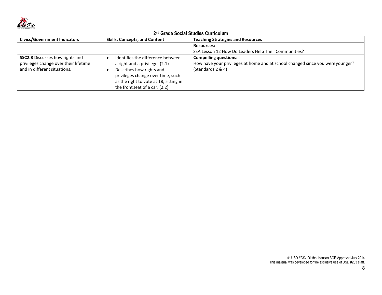

| <b>Civics/Government Indicators</b>                                                                             | <b>Skills, Concepts, and Content</b>                                                                                                                                                                             | <b>Teaching Strategies and Resources</b>                                                                                            |
|-----------------------------------------------------------------------------------------------------------------|------------------------------------------------------------------------------------------------------------------------------------------------------------------------------------------------------------------|-------------------------------------------------------------------------------------------------------------------------------------|
|                                                                                                                 |                                                                                                                                                                                                                  | <b>Resources:</b><br>SSA Lesson 12 How Do Leaders Help Their Communities?                                                           |
| <b>SSC2.8</b> Discusses how rights and<br>privileges change over their lifetime<br>and in different situations. | Identifies the difference between<br>a right and a privilege. (2.1)<br>Describes how rights and<br>privileges change over time, such<br>as the right to vote at 18, sitting in<br>the front seat of a car. (2.2) | <b>Compelling questions:</b><br>How have your privileges at home and at school changed since you were younger?<br>(Standards 2 & 4) |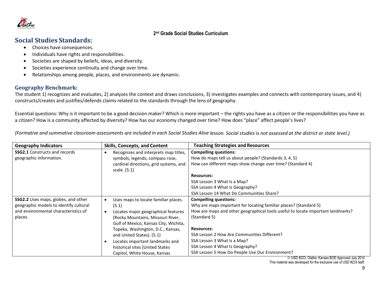

# **Social Studies Standards:**

- Choices have consequences.
- Individuals have rights and responsibilities.
- Societies are shaped by beliefs, ideas, and diversity.
- Societies experience continuity and change over time.
- Relationships among people, places, and environments are dynamic.

# **Geography Benchmark:**

The student 1) recognizes and evaluates, 2) analyzes the context and draws conclusions, 3) investigates examples and connects with contemporary issues, and 4) constructs/creates and justifies/defends claims related to the standards through the lens of geography.

Essential questions: Why is it important to be a good decision maker? Which is more important – the rights you have as a citizen or the responsibilities you have as a citizen? How is a community affected by diversity? How has our economy changed over time? How does "place" affect people's lives?

(Formative and summative classroom assessments are included in each Social Studies Alive lesson. Social studies is not assessed at the district or state level.)

| <b>Geography Indicators</b>            | <b>Skills, Concepts, and Content</b>               | <b>Teaching Strategies and Resources</b>                                        |
|----------------------------------------|----------------------------------------------------|---------------------------------------------------------------------------------|
| <b>SSG2.1</b> Constructs and records   | Recognizes and interprets map titles,<br>$\bullet$ | <b>Compelling questions:</b>                                                    |
| geographic information.                | symbols, legends, compass rose,                    | How do maps tell us about people? (Standards 3, 4, 5)                           |
|                                        | cardinal directions, grid systems, and             | How can different maps show change over time? (Standard 4)                      |
|                                        | scale. (5.1)                                       |                                                                                 |
|                                        |                                                    | <b>Resources:</b>                                                               |
|                                        |                                                    | SSA Lesson 3 What Is a Map?                                                     |
|                                        |                                                    | SSA Lesson 4 What Is Geography?                                                 |
|                                        |                                                    | SSA Lesson 14 What Do Communities Share?                                        |
| SSG2.2 Uses maps, globes, and other    | Uses maps to locate familiar places.<br>$\bullet$  | <b>Compelling questions:</b>                                                    |
| geographic models to identify cultural | (5.1)                                              | Why are maps important for locating familiar places? (Standard 5)               |
| and environmental characteristics of   | Locates major geographical features<br>$\bullet$   | How are maps and other geographical tools useful to locate important landmarks? |
| places.                                | (Rocky Mountains, Missouri River,                  | (Standard 5)                                                                    |
|                                        | Gulf of Mexico, Kansas City, Wichita,              |                                                                                 |
|                                        | Topeka, Washington, D.C., Kansas,                  | <b>Resources:</b>                                                               |
|                                        | and United States). (5.1)                          | SSA Lesson 2 How Are Communities Different?                                     |
|                                        | Locates important landmarks and                    | SSA Lesson 3 What Is a Map?                                                     |
|                                        | historical sites (United States                    | SSA Lesson 4 What Is Geography?                                                 |
|                                        | Capitol, White House, Kansas                       | SSA Lesson 5 How Do People Use Our Environment?                                 |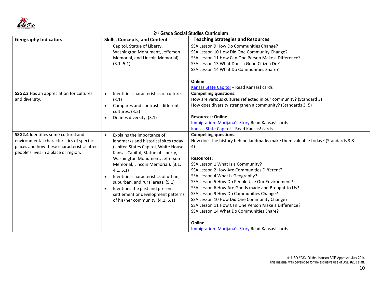

| <b>Geography Indicators</b>                 | <b>Skills, Concepts, and Content</b>              | <b>Teaching Strategies and Resources</b>                                                           |
|---------------------------------------------|---------------------------------------------------|----------------------------------------------------------------------------------------------------|
|                                             | Capitol, Statue of Liberty,                       | SSA Lesson 9 How Do Communities Change?                                                            |
|                                             | Washington Monument, Jefferson                    | SSA Lesson 10 How Did One Community Change?                                                        |
|                                             | Memorial, and Lincoln Memorial).                  | SSA Lesson 11 How Can One Person Make a Difference?                                                |
|                                             | (3.1, 5.1)                                        | SSA Lesson 13 What Does a Good Citizen Do?                                                         |
|                                             |                                                   | SSA Lesson 14 What Do Communities Share?                                                           |
|                                             |                                                   |                                                                                                    |
|                                             |                                                   | Online                                                                                             |
|                                             |                                                   | Kansas State Capitol - Read Kansas! cards                                                          |
| SSG2.3 Has an appreciation for cultures     | Identifies characteristics of culture.            | <b>Compelling questions:</b>                                                                       |
| and diversity.                              | (3.1)                                             | How are various cultures reflected in our community? (Standard 3)                                  |
|                                             | Compares and contrasts different<br>$\bullet$     | How does diversity strengthen a community? (Standards 3, 5)                                        |
|                                             | cultures. (3.2)                                   |                                                                                                    |
|                                             | Defines diversity. (3.1)<br>$\bullet$             | <b>Resources: Online</b>                                                                           |
|                                             |                                                   | Immigration: Marijana's Story Read Kansas! cards                                                   |
|                                             |                                                   | Kansas State Capitol - Read Kansas! cards                                                          |
| SSG2.4 Identifies some cultural and         | Explains the importance of<br>$\bullet$           | <b>Compelling questions:</b>                                                                       |
| environmental characteristics of specific   | landmarks and historical sites today              | How does the history behind landmarks make them valuable today? (Standards 3 &                     |
| places and how these characteristics affect | (United States Capitol, White House,              | 4)                                                                                                 |
| people's lives in a place or region.        | Kansas Capitol, Statue of Liberty,                |                                                                                                    |
|                                             | Washington Monument, Jefferson                    | <b>Resources:</b>                                                                                  |
|                                             | Memorial, Lincoln Memorial). (3.1,                | SSA Lesson 1 What Is a Community?                                                                  |
|                                             | 4.1, 5.1                                          | SSA Lesson 2 How Are Communities Different?                                                        |
|                                             | Identifies characteristics of urban,<br>$\bullet$ | SSA Lesson 4 What Is Geography?                                                                    |
|                                             | suburban, and rural areas. (5.1)                  | SSA Lesson 5 How Do People Use Our Environment?                                                    |
|                                             | Identifies the past and present<br>$\bullet$      | SSA Lesson 6 How Are Goods made and Brought to Us?                                                 |
|                                             | settlement or development patterns                | SSA Lesson 9 How Do Communities Change?                                                            |
|                                             | of his/her community. (4.1, 5.1)                  | SSA Lesson 10 How Did One Community Change?<br>SSA Lesson 11 How Can One Person Make a Difference? |
|                                             |                                                   |                                                                                                    |
|                                             |                                                   | SSA Lesson 14 What Do Communities Share?                                                           |
|                                             |                                                   | Online                                                                                             |
|                                             |                                                   | Immigration: Marijana's Story Read Kansas! cards                                                   |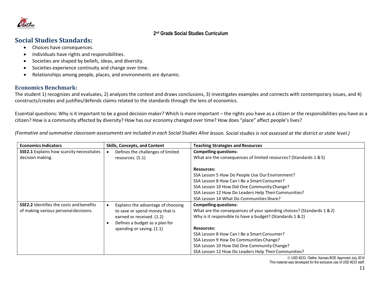

# **Social Studies Standards:**

- Choices have consequences.
- Individuals have rights and responsibilities.
- Societies are shaped by beliefs, ideas, and diversity.
- Societies experience continuity and change over time.
- Relationships among people, places, and environments are dynamic.

## **Economics Benchmark:**

The student 1) recognizes and evaluates, 2) analyzes the context and draws conclusions, 3) investigates examples and connects with contemporary issues, and 4) constructs/creates and justifies/defends claims related to the standards through the lens of economics.

Essential questions: Why is it important to be a good decision maker? Which is more important – the rights you have as a citizen or the responsibilities you have as a citizen? How is a community affected by diversity? How has our economy changed over time? How does "place" affect people's lives?

(Formative and summative classroom assessments are included in each Social Studies Alive lesson. Social studies is not assessed at the district or state level.)

| <b>Economics Indicators</b>                      | <b>Skills, Concepts, and Content</b> | <b>Teaching Strategies and Resources</b>                              |
|--------------------------------------------------|--------------------------------------|-----------------------------------------------------------------------|
| <b>SSE2.1</b> Explains how scarcity necessitates | Defines the challenges of limited    | <b>Compelling questions:</b>                                          |
| decision making.                                 | resources. (5.1)                     | What are the consequences of limited resources? (Standards 1 & 5)     |
|                                                  |                                      |                                                                       |
|                                                  |                                      | <b>Resources:</b>                                                     |
|                                                  |                                      | SSA Lesson 5 How Do People Use Our Environment?                       |
|                                                  |                                      | SSA Lesson 8 How Can I Be a Smart Consumer?                           |
|                                                  |                                      | SSA Lesson 10 How Did One Community Change?                           |
|                                                  |                                      | SSA Lesson 12 How Do Leaders Help Their Communities?                  |
|                                                  |                                      | SSA Lesson 14 What Do Communities Share?                              |
| <b>SSE2.2</b> Identifies the costs and benefits  | Explains the advantage of choosing   | <b>Compelling questions:</b>                                          |
| of making various personal decisions.            | to save or spend money that is       | What are the consequences of your spending choices? (Standards 1 & 2) |
|                                                  | earned or received. (1.2)            | Why is it responsible to have a budget? (Standards 1 & 2)             |
|                                                  | Defines a budget as a plan for       |                                                                       |
|                                                  | spending or saving. (1.1)            | <b>Resources:</b>                                                     |
|                                                  |                                      | SSA Lesson 8 How Can I Be a Smart Consumer?                           |
|                                                  |                                      | SSA Lesson 9 How Do Communities Change?                               |
|                                                  |                                      | SSA Lesson 10 How Did One Community Change?                           |
|                                                  |                                      | SSA Lesson 12 How Do Leaders Help Their Communities?                  |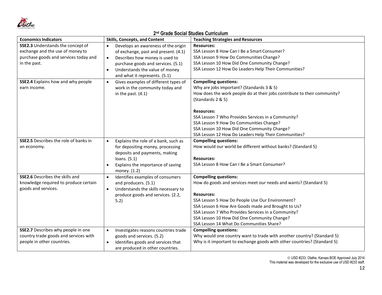

#### **Economics Indicators Skills, Concepts, and Content Teaching Strategies and Resources SSE2.3** Understands the concept of exchange and the use of money to purchase goods and services today and in the past. • Develops an awareness of the origin of exchange, past and present. (4.1) • Describes how money is used to purchase goods and services. (5.1) • Understands the value of money and what it represents. (5.1) **Resources:** SSA Lesson 8 How Can I Be a Smart Consumer? SSA Lesson 9 How Do Communities Change? SSA Lesson 10 How Did One Community Change? SSA Lesson 12 How Do Leaders Help Their Communities? **SSE2.4** Explains how and why people earn income. • Gives examples of different types of work in the community today and in the past. (4.1) **Compelling questions:** Why are jobs important? (Standards 3 & 5) How does the work people do at their jobs contribute to their community? (Standards 2 & 5) **Resources:** SSA Lesson 7 Who Provides Services in a Community? SSA Lesson 9 How Do Communities Change? SSA Lesson 10 How Did One Community Change? SSA Lesson 12 How Do Leaders Help Their Communities? **SSE2.5** Describes the role of banks in an economy. Explains the role of a bank, such as for depositing money, processing deposits and payments, making loans. (5.1) • Explains the importance of saving money. (1.2) **Compelling questions:** How would our world be different without banks? (Standard 5) **Resources:** SSA Lesson 8 How Can I Be a Smart Consumer? **SSE2.6** Describes the skills and knowledge required to produce certain goods and services. • Identifies examples of consumers and producers. (5.1) • Understands the skills necessary to produce goods and services. (2.2, 5.2) **Compelling questions:** How do goods and services meet our needs and wants? (Standard 5) **Resources:** SSA Lesson 5 How Do People Use Our Environment? SSA Lesson 6 How Are Goods made and Brought to Us? SSA Lesson 7 Who Provides Services in a Community? SSA Lesson 10 How Did One Community Change? SSA Lesson 14 What Do Communities Share? **SSE2.7** Describes why people in one country trade goods and services with people in other countries. • Investigates reasons countries trade goods and services. (5.2) • Identifies goods and services that are produced in other countries. **Compelling questions:** Why would one country want to trade with another country? (Standard 5) Why is it important to exchange goods with other countries? (Standard 5)